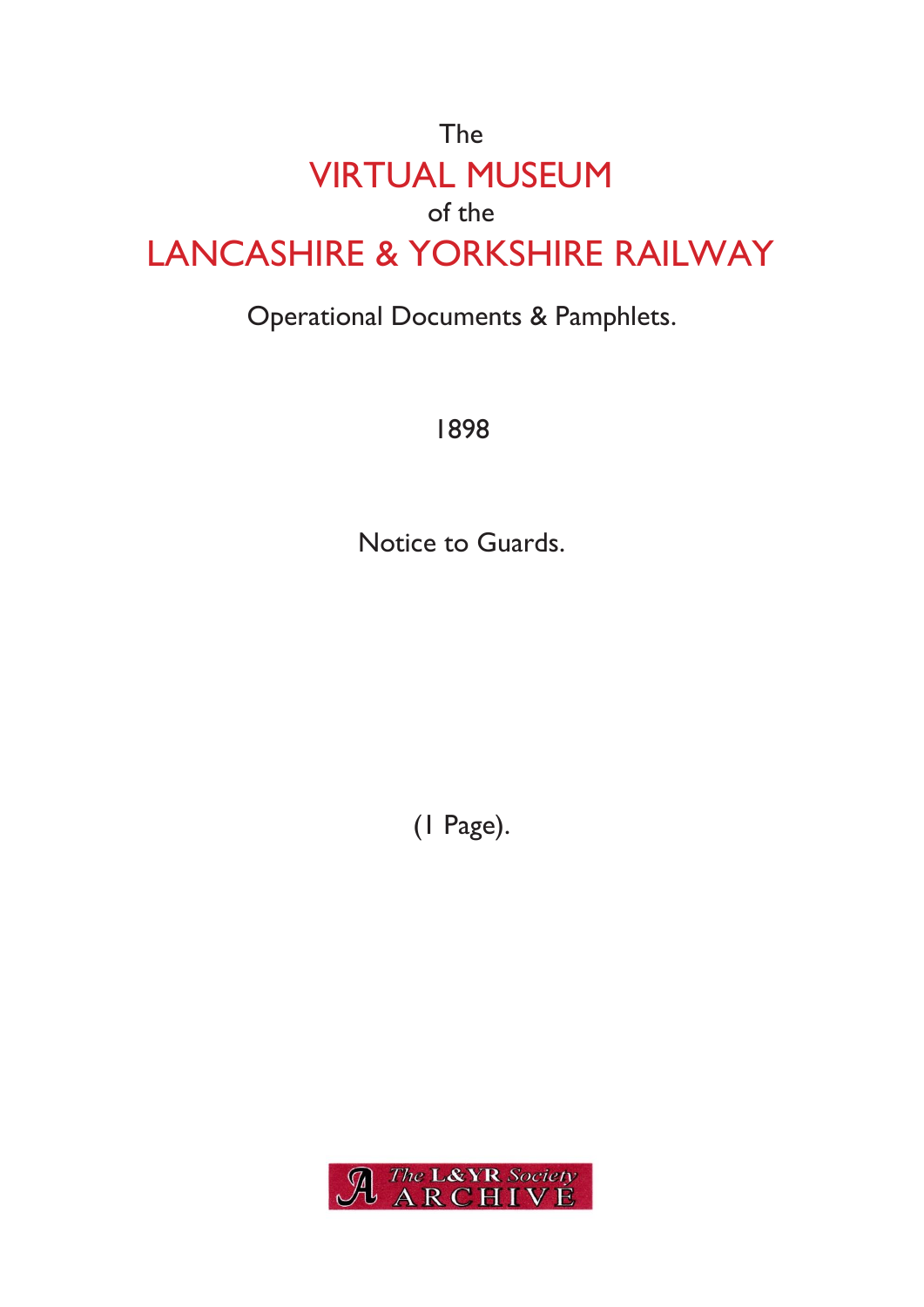## The VIRTUAL MUSEUM of the LANCASHIRE & YORKSHIRE RAILWAY

### Operational Documents & Pamphlets.

1898

Notice to Guards.

(1 Page).